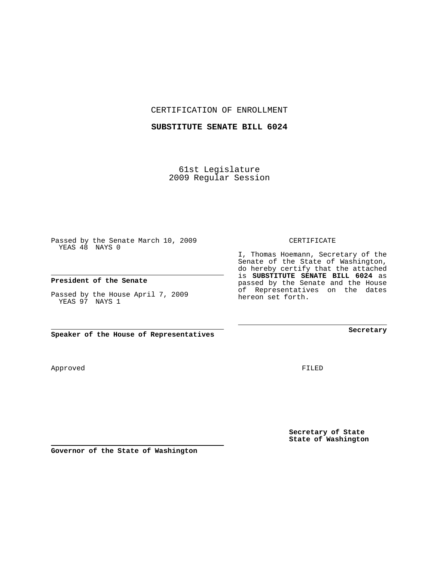CERTIFICATION OF ENROLLMENT

## **SUBSTITUTE SENATE BILL 6024**

61st Legislature 2009 Regular Session

Passed by the Senate March 10, 2009 YEAS 48 NAYS 0

## **President of the Senate**

Passed by the House April 7, 2009 YEAS 97 NAYS 1

**Speaker of the House of Representatives**

**Secretary of State State of Washington**

FILED

CERTIFICATE

I, Thomas Hoemann, Secretary of the

Senate of the State of Washington, do hereby certify that the attached is **SUBSTITUTE SENATE BILL 6024** as passed by the Senate and the House of Representatives on the dates hereon set forth.

**Secretary**

**Governor of the State of Washington**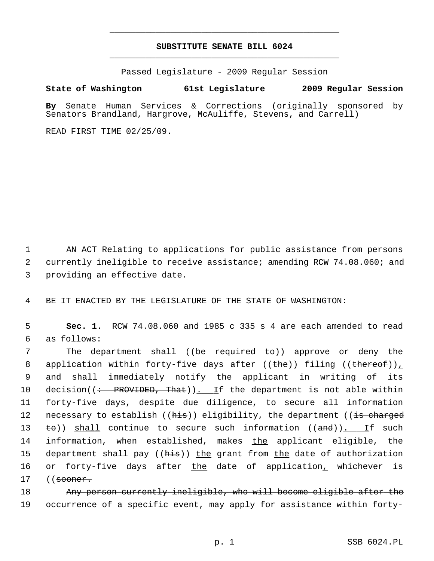## **SUBSTITUTE SENATE BILL 6024** \_\_\_\_\_\_\_\_\_\_\_\_\_\_\_\_\_\_\_\_\_\_\_\_\_\_\_\_\_\_\_\_\_\_\_\_\_\_\_\_\_\_\_\_\_

\_\_\_\_\_\_\_\_\_\_\_\_\_\_\_\_\_\_\_\_\_\_\_\_\_\_\_\_\_\_\_\_\_\_\_\_\_\_\_\_\_\_\_\_\_

Passed Legislature - 2009 Regular Session

## **State of Washington 61st Legislature 2009 Regular Session**

**By** Senate Human Services & Corrections (originally sponsored by Senators Brandland, Hargrove, McAuliffe, Stevens, and Carrell)

READ FIRST TIME 02/25/09.

 1 AN ACT Relating to applications for public assistance from persons 2 currently ineligible to receive assistance; amending RCW 74.08.060; and 3 providing an effective date.

4 BE IT ENACTED BY THE LEGISLATURE OF THE STATE OF WASHINGTON:

 5 **Sec. 1.** RCW 74.08.060 and 1985 c 335 s 4 are each amended to read 6 as follows:

7 The department shall ((be required to)) approve or deny the 8 application within forty-five days after  $((the))$  filing  $((the tree of))_L$  9 and shall immediately notify the applicant in writing of its 10 decision( $\left($  + PROVIDED, That)). If the department is not able within 11 forty-five days, despite due diligence, to secure all information 12 necessary to establish ((his)) eligibility, the department ((is charged 13  $\pm$ o)) shall continue to secure such information ((and)). If such 14 information, when established, makes the applicant eligible, the 15 department shall pay ((his)) the grant from the date of authorization 16 or forty-five days after the date of application, whichever is 17 ((<del>sooner.</del>

18 Any person currently ineligible, who will become eligible after the 19 occurrence of a specific event, may apply for assistance within forty